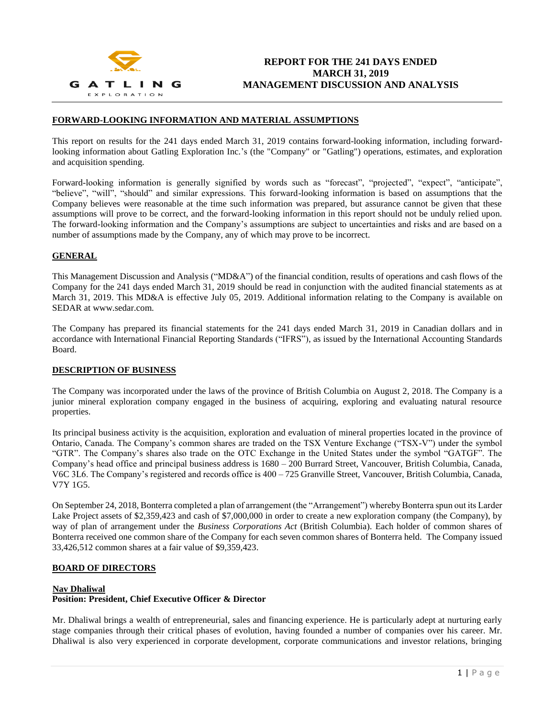

### **FORWARD-LOOKING INFORMATION AND MATERIAL ASSUMPTIONS**

This report on results for the 241 days ended March 31, 2019 contains forward-looking information, including forwardlooking information about Gatling Exploration Inc.'s (the "Company" or "Gatling") operations, estimates, and exploration and acquisition spending.

Forward-looking information is generally signified by words such as "forecast", "projected", "expect", "anticipate", "believe", "will", "should" and similar expressions. This forward-looking information is based on assumptions that the Company believes were reasonable at the time such information was prepared, but assurance cannot be given that these assumptions will prove to be correct, and the forward-looking information in this report should not be unduly relied upon. The forward-looking information and the Company's assumptions are subject to uncertainties and risks and are based on a number of assumptions made by the Company, any of which may prove to be incorrect.

### **GENERAL**

This Management Discussion and Analysis ("MD&A") of the financial condition, results of operations and cash flows of the Company for the 241 days ended March 31, 2019 should be read in conjunction with the audited financial statements as at March 31, 2019. This MD&A is effective July 05, 2019. Additional information relating to the Company is available on SEDAR at www.sedar.com.

The Company has prepared its financial statements for the 241 days ended March 31, 2019 in Canadian dollars and in accordance with International Financial Reporting Standards ("IFRS"), as issued by the International Accounting Standards Board.

#### **DESCRIPTION OF BUSINESS**

The Company was incorporated under the laws of the province of British Columbia on August 2, 2018. The Company is a junior mineral exploration company engaged in the business of acquiring, exploring and evaluating natural resource properties.

Its principal business activity is the acquisition, exploration and evaluation of mineral properties located in the province of Ontario, Canada. The Company's common shares are traded on the TSX Venture Exchange ("TSX-V") under the symbol "GTR". The Company's shares also trade on the OTC Exchange in the United States under the symbol "GATGF". The Company's head office and principal business address is 1680 – 200 Burrard Street, Vancouver, British Columbia, Canada, V6C 3L6. The Company's registered and records office is 400 – 725 Granville Street, Vancouver, British Columbia, Canada, V7Y 1G5.

On September 24, 2018, Bonterra completed a plan of arrangement (the "Arrangement") whereby Bonterra spun out its Larder Lake Project assets of \$2,359,423 and cash of \$7,000,000 in order to create a new exploration company (the Company), by way of plan of arrangement under the *Business Corporations Act* (British Columbia). Each holder of common shares of Bonterra received one common share of the Company for each seven common shares of Bonterra held. The Company issued 33,426,512 common shares at a fair value of \$9,359,423.

#### **BOARD OF DIRECTORS**

### **Nav Dhaliwal Position: President, Chief Executive Officer & Director**

Mr. Dhaliwal brings a wealth of entrepreneurial, sales and financing experience. He is particularly adept at nurturing early stage companies through their critical phases of evolution, having founded a number of companies over his career. Mr. Dhaliwal is also very experienced in corporate development, corporate communications and investor relations, bringing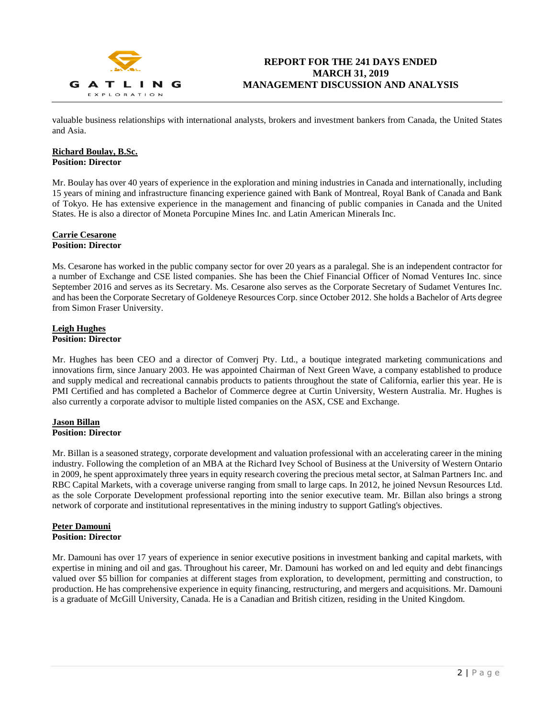

valuable business relationships with international analysts, brokers and investment bankers from Canada, the United States and Asia.

#### **Richard Boulay, B.Sc. Position: Director**

Mr. Boulay has over 40 years of experience in the exploration and mining industries in Canada and internationally, including 15 years of mining and infrastructure financing experience gained with Bank of Montreal, Royal Bank of Canada and Bank of Tokyo. He has extensive experience in the management and financing of public companies in Canada and the United States. He is also a director of Moneta Porcupine Mines Inc. and Latin American Minerals Inc.

#### **Carrie Cesarone Position: Director**

Ms. Cesarone has worked in the public company sector for over 20 years as a paralegal. She is an independent contractor for a number of Exchange and CSE listed companies. She has been the Chief Financial Officer of Nomad Ventures Inc. since September 2016 and serves as its Secretary. Ms. Cesarone also serves as the Corporate Secretary of Sudamet Ventures Inc. and has been the Corporate Secretary of Goldeneye Resources Corp. since October 2012. She holds a Bachelor of Arts degree from Simon Fraser University.

## **Leigh Hughes Position: Director**

Mr. Hughes has been CEO and a director of Comverj Pty. Ltd., a boutique integrated marketing communications and innovations firm, since January 2003. He was appointed Chairman of Next Green Wave, a company established to produce and supply medical and recreational cannabis products to patients throughout the state of California, earlier this year. He is PMI Certified and has completed a Bachelor of Commerce degree at Curtin University, Western Australia. Mr. Hughes is also currently a corporate advisor to multiple listed companies on the ASX, CSE and Exchange.

# **Jason Billan Position: Director**

Mr. Billan is a seasoned strategy, corporate development and valuation professional with an accelerating career in the mining industry. Following the completion of an MBA at the Richard Ivey School of Business at the University of Western Ontario in 2009, he spent approximately three years in equity research covering the precious metal sector, at Salman Partners Inc. and RBC Capital Markets, with a coverage universe ranging from small to large caps. In 2012, he joined Nevsun Resources Ltd. as the sole Corporate Development professional reporting into the senior executive team. Mr. Billan also brings a strong network of corporate and institutional representatives in the mining industry to support Gatling's objectives.

# **Peter Damouni Position: Director**

Mr. Damouni has over 17 years of experience in senior executive positions in investment banking and capital markets, with expertise in mining and oil and gas. Throughout his career, Mr. Damouni has worked on and led equity and debt financings valued over \$5 billion for companies at different stages from exploration, to development, permitting and construction, to production. He has comprehensive experience in equity financing, restructuring, and mergers and acquisitions. Mr. Damouni is a graduate of McGill University, Canada. He is a Canadian and British citizen, residing in the United Kingdom.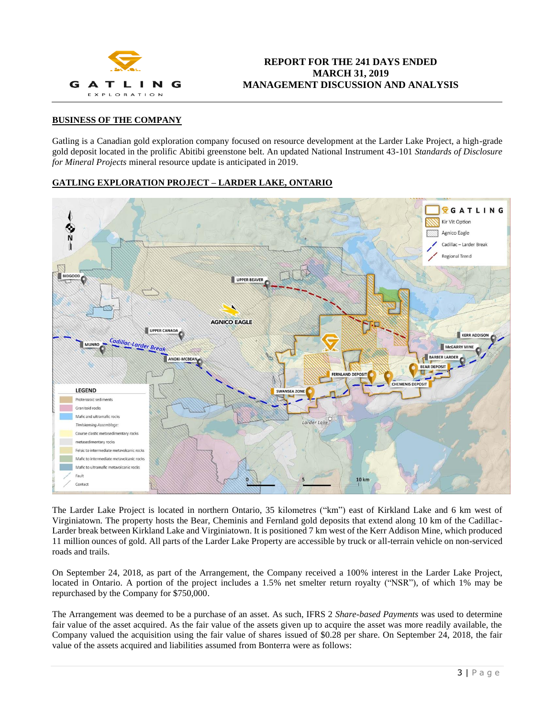

# **BUSINESS OF THE COMPANY**

Gatling is a Canadian gold exploration company focused on resource development at the Larder Lake Project, a high-grade gold deposit located in the prolific Abitibi greenstone belt. An updated National Instrument 43-101 *Standards of Disclosure for Mineral Projects* mineral resource update is anticipated in 2019.

### **GATLING EXPLORATION PROJECT – LARDER LAKE, ONTARIO**



The Larder Lake Project is located in northern Ontario, 35 kilometres ("km") east of Kirkland Lake and 6 km west of Virginiatown. The property hosts the Bear, Cheminis and Fernland gold deposits that extend along 10 km of the Cadillac-Larder break between Kirkland Lake and Virginiatown. It is positioned 7 km west of the Kerr Addison Mine, which produced 11 million ounces of gold. All parts of the Larder Lake Property are accessible by truck or all-terrain vehicle on non-serviced roads and trails.

On September 24, 2018, as part of the Arrangement, the Company received a 100% interest in the Larder Lake Project, located in Ontario. A portion of the project includes a 1.5% net smelter return royalty ("NSR"), of which 1% may be repurchased by the Company for \$750,000.

The Arrangement was deemed to be a purchase of an asset. As such, IFRS 2 *Share-based Payments* was used to determine fair value of the asset acquired. As the fair value of the assets given up to acquire the asset was more readily available, the Company valued the acquisition using the fair value of shares issued of \$0.28 per share. On September 24, 2018, the fair value of the assets acquired and liabilities assumed from Bonterra were as follows: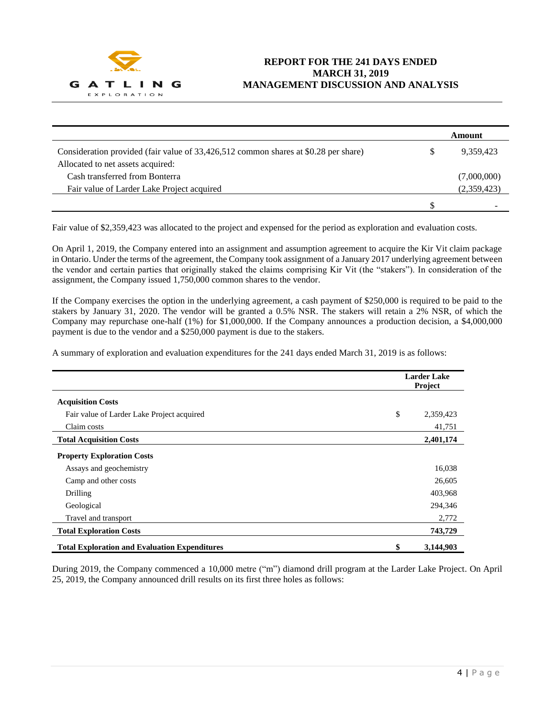

|                                                                                     | Amount          |
|-------------------------------------------------------------------------------------|-----------------|
| Consideration provided (fair value of 33,426,512 common shares at \$0.28 per share) | \$<br>9,359,423 |
| Allocated to net assets acquired:                                                   |                 |
| Cash transferred from Bonterra                                                      | (7,000,000)     |
| Fair value of Larder Lake Project acquired                                          | (2,359,423)     |
|                                                                                     | -               |

Fair value of \$2,359,423 was allocated to the project and expensed for the period as exploration and evaluation costs.

On April 1, 2019, the Company entered into an assignment and assumption agreement to acquire the Kir Vit claim package in Ontario. Under the terms of the agreement, the Company took assignment of a January 2017 underlying agreement between the vendor and certain parties that originally staked the claims comprising Kir Vit (the "stakers"). In consideration of the assignment, the Company issued 1,750,000 common shares to the vendor.

If the Company exercises the option in the underlying agreement, a cash payment of \$250,000 is required to be paid to the stakers by January 31, 2020. The vendor will be granted a 0.5% NSR. The stakers will retain a 2% NSR, of which the Company may repurchase one-half (1%) for \$1,000,000. If the Company announces a production decision, a \$4,000,000 payment is due to the vendor and a \$250,000 payment is due to the stakers.

A summary of exploration and evaluation expenditures for the 241 days ended March 31, 2019 is as follows:

|                                                      | <b>Larder Lake</b><br>Project |           |  |
|------------------------------------------------------|-------------------------------|-----------|--|
| <b>Acquisition Costs</b>                             |                               |           |  |
| Fair value of Larder Lake Project acquired           | \$                            | 2,359,423 |  |
| Claim costs                                          |                               | 41,751    |  |
| <b>Total Acquisition Costs</b>                       |                               | 2,401,174 |  |
| <b>Property Exploration Costs</b>                    |                               |           |  |
| Assays and geochemistry                              |                               | 16,038    |  |
| Camp and other costs                                 |                               | 26,605    |  |
| Drilling                                             |                               | 403,968   |  |
| Geological                                           |                               | 294,346   |  |
| Travel and transport                                 |                               | 2,772     |  |
| <b>Total Exploration Costs</b>                       |                               | 743,729   |  |
| <b>Total Exploration and Evaluation Expenditures</b> | \$                            | 3,144,903 |  |

During 2019, the Company commenced a 10,000 metre ("m") diamond drill program at the Larder Lake Project. On April 25, 2019, the Company announced drill results on its first three holes as follows: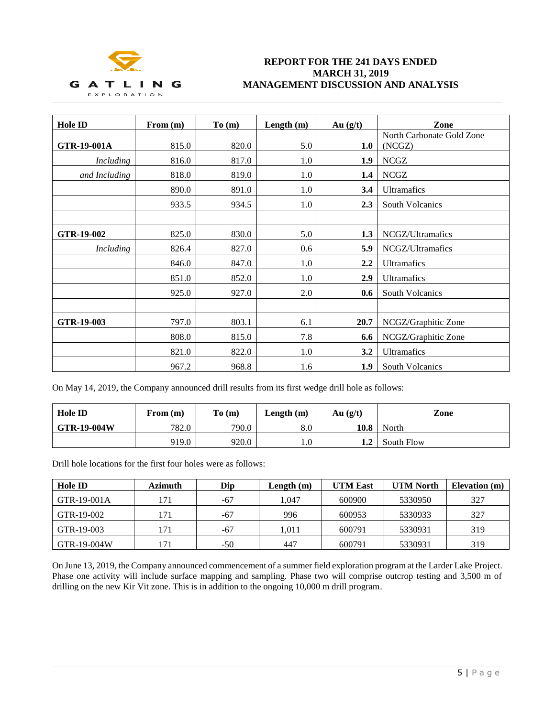

# **REPORT FOR THE 241 DAYS ENDED MARCH 31, 2019 MANAGEMENT DISCUSSION AND ANALYSIS**

| <b>Hole ID</b>   | From (m) | To (m) | Length (m) | Au $(g/t)$       | Zone                                |
|------------------|----------|--------|------------|------------------|-------------------------------------|
| GTR-19-001A      | 815.0    | 820.0  | 5.0        | 1.0              | North Carbonate Gold Zone<br>(NCGZ) |
| <b>Including</b> | 816.0    | 817.0  | 1.0        | 1.9              | <b>NCGZ</b>                         |
| and Including    | 818.0    | 819.0  | 1.0        | 1.4              | <b>NCGZ</b>                         |
|                  | 890.0    | 891.0  | 1.0        | 3.4              | Ultramafics                         |
|                  | 933.5    | 934.5  | 1.0        | 2.3              | South Volcanics                     |
|                  |          |        |            |                  |                                     |
| GTR-19-002       | 825.0    | 830.0  | 5.0        | 1.3              | NCGZ/Ultramafics                    |
| <b>Including</b> | 826.4    | 827.0  | 0.6        | 5.9              | NCGZ/Ultramafics                    |
|                  | 846.0    | 847.0  | 1.0        | $2.2\phantom{0}$ | <b>Ultramafics</b>                  |
|                  | 851.0    | 852.0  | 1.0        | 2.9              | Ultramafics                         |
|                  | 925.0    | 927.0  | 2.0        | 0.6              | South Volcanics                     |
|                  |          |        |            |                  |                                     |
| GTR-19-003       | 797.0    | 803.1  | 6.1        | 20.7             | NCGZ/Graphitic Zone                 |
|                  | 808.0    | 815.0  | 7.8        | 6.6              | NCGZ/Graphitic Zone                 |
|                  | 821.0    | 822.0  | 1.0        | 3.2              | Ultramafics                         |
|                  | 967.2    | 968.8  | 1.6        | 1.9              | South Volcanics                     |

On May 14, 2019, the Company announced drill results from its first wedge drill hole as follows:

| <b>Hole ID</b>     | From (m) | To(m) | Length $(m)$ | Au $(g/t)$ | Zone       |
|--------------------|----------|-------|--------------|------------|------------|
| <b>GTR-19-004W</b> | 782.0    | 790.0 | $\rm 8.0$    | 10.8       | North      |
|                    | 919.0    | 920.0 | $0.1\,$      | 1.2        | South Flow |

Drill hole locations for the first four holes were as follows:

| Hole ID     | Azimuth | Dip   | Length $(m)$ | <b>UTM East</b> | <b>UTM North</b> | Elevation (m) |
|-------------|---------|-------|--------------|-----------------|------------------|---------------|
| GTR-19-001A | 171     | $-67$ | 1.047        | 600900          | 5330950          | 327           |
| GTR-19-002  | 171     | $-67$ | 996          | 600953          | 5330933          | 327           |
| GTR-19-003  | 171     | $-67$ | l.011        | 600791          | 5330931          | 319           |
| GTR-19-004W | 171     | $-50$ | 447          | 600791          | 5330931          | 319           |

On June 13, 2019, the Company announced commencement of a summer field exploration program at the Larder Lake Project. Phase one activity will include surface mapping and sampling. Phase two will comprise outcrop testing and 3,500 m of drilling on the new Kir Vit zone. This is in addition to the ongoing 10,000 m drill program.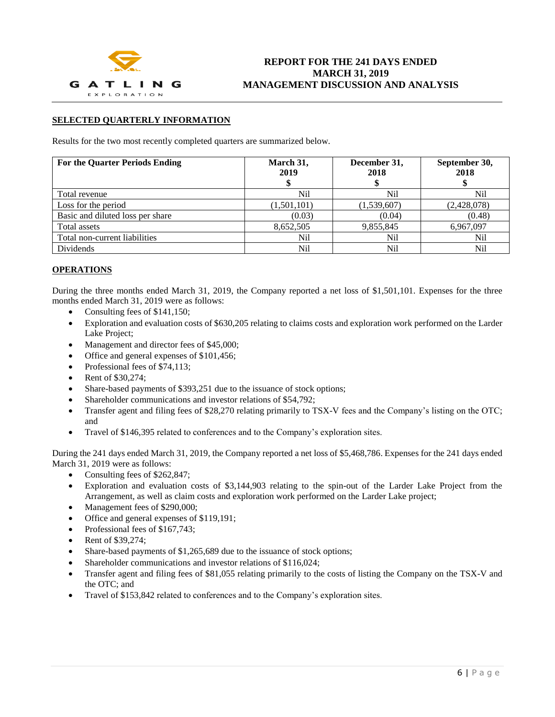

### **SELECTED QUARTERLY INFORMATION**

Results for the two most recently completed quarters are summarized below.

| <b>For the Quarter Periods Ending</b> | March 31,<br>2019 | December 31,<br>2018 | September 30,<br>2018 |
|---------------------------------------|-------------------|----------------------|-----------------------|
| Total revenue                         | Nil               | Nil                  | Nil                   |
| Loss for the period                   | (1,501,101)       | (1,539,607)          | (2,428,078)           |
| Basic and diluted loss per share      | (0.03)            | (0.04)               | (0.48)                |
| Total assets                          | 8,652,505         | 9,855,845            | 6,967,097             |
| Total non-current liabilities         | Nil               | Nil                  | Nil                   |
| Dividends                             | Nil               | Nil                  | Nil                   |

### **OPERATIONS**

During the three months ended March 31, 2019, the Company reported a net loss of \$1,501,101. Expenses for the three months ended March 31, 2019 were as follows:

- Consulting fees of \$141,150;
- Exploration and evaluation costs of \$630,205 relating to claims costs and exploration work performed on the Larder Lake Project;
- Management and director fees of \$45,000;
- Office and general expenses of \$101,456;
- Professional fees of \$74,113;
- Rent of \$30,274;
- Share-based payments of \$393,251 due to the issuance of stock options;
- Shareholder communications and investor relations of \$54,792;
- Transfer agent and filing fees of \$28,270 relating primarily to TSX-V fees and the Company's listing on the OTC; and
- Travel of \$146,395 related to conferences and to the Company's exploration sites.

During the 241 days ended March 31, 2019, the Company reported a net loss of \$5,468,786. Expenses for the 241 days ended March 31, 2019 were as follows:

- Consulting fees of \$262,847;
- Exploration and evaluation costs of \$3,144,903 relating to the spin-out of the Larder Lake Project from the Arrangement, as well as claim costs and exploration work performed on the Larder Lake project;
- Management fees of \$290,000;
- Office and general expenses of  $$119,191$ ;
- Professional fees of \$167,743:
- Rent of \$39,274;
- Share-based payments of \$1,265,689 due to the issuance of stock options;
- Shareholder communications and investor relations of \$116,024;
- Transfer agent and filing fees of \$81,055 relating primarily to the costs of listing the Company on the TSX-V and the OTC; and
- Travel of \$153,842 related to conferences and to the Company's exploration sites.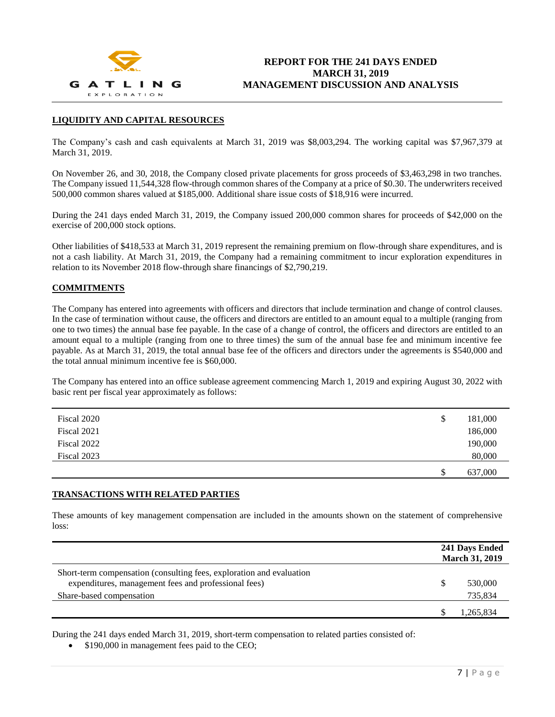

## **LIQUIDITY AND CAPITAL RESOURCES**

The Company's cash and cash equivalents at March 31, 2019 was \$8,003,294. The working capital was \$7,967,379 at March 31, 2019.

On November 26, and 30, 2018, the Company closed private placements for gross proceeds of \$3,463,298 in two tranches. The Company issued 11,544,328 flow-through common shares of the Company at a price of \$0.30. The underwriters received 500,000 common shares valued at \$185,000. Additional share issue costs of \$18,916 were incurred.

During the 241 days ended March 31, 2019, the Company issued 200,000 common shares for proceeds of \$42,000 on the exercise of 200,000 stock options.

Other liabilities of \$418,533 at March 31, 2019 represent the remaining premium on flow-through share expenditures, and is not a cash liability. At March 31, 2019, the Company had a remaining commitment to incur exploration expenditures in relation to its November 2018 flow-through share financings of \$2,790,219.

## **COMMITMENTS**

The Company has entered into agreements with officers and directors that include termination and change of control clauses. In the case of termination without cause, the officers and directors are entitled to an amount equal to a multiple (ranging from one to two times) the annual base fee payable. In the case of a change of control, the officers and directors are entitled to an amount equal to a multiple (ranging from one to three times) the sum of the annual base fee and minimum incentive fee payable. As at March 31, 2019, the total annual base fee of the officers and directors under the agreements is \$540,000 and the total annual minimum incentive fee is \$60,000.

The Company has entered into an office sublease agreement commencing March 1, 2019 and expiring August 30, 2022 with basic rent per fiscal year approximately as follows:

| Fiscal 2020 | \$<br>181,000 |
|-------------|---------------|
| Fiscal 2021 | 186,000       |
| Fiscal 2022 | 190,000       |
| Fiscal 2023 | 80,000        |
|             | \$<br>637,000 |

#### **TRANSACTIONS WITH RELATED PARTIES**

These amounts of key management compensation are included in the amounts shown on the statement of comprehensive loss:

|                                                                                                                              | 241 Days Ended<br><b>March 31, 2019</b> |
|------------------------------------------------------------------------------------------------------------------------------|-----------------------------------------|
| Short-term compensation (consulting fees, exploration and evaluation<br>expenditures, management fees and professional fees) | 530,000                                 |
| Share-based compensation                                                                                                     | 735,834                                 |
|                                                                                                                              | 1.265.834                               |

During the 241 days ended March 31, 2019, short-term compensation to related parties consisted of:

• \$190,000 in management fees paid to the CEO;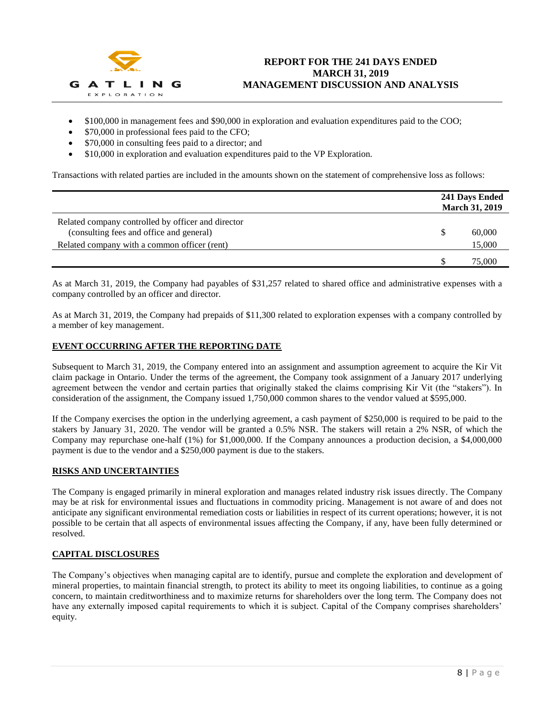

- \$100,000 in management fees and \$90,000 in exploration and evaluation expenditures paid to the COO;
- \$70,000 in professional fees paid to the CFO;
- \$70,000 in consulting fees paid to a director; and
- \$10,000 in exploration and evaluation expenditures paid to the VP Exploration.

Transactions with related parties are included in the amounts shown on the statement of comprehensive loss as follows:

|                                                                                                | 241 Days Ended<br><b>March 31, 2019</b> |
|------------------------------------------------------------------------------------------------|-----------------------------------------|
| Related company controlled by officer and director<br>(consulting fees and office and general) | 60,000                                  |
| Related company with a common officer (rent)                                                   | 15,000                                  |
|                                                                                                | 75,000                                  |

As at March 31, 2019, the Company had payables of \$31,257 related to shared office and administrative expenses with a company controlled by an officer and director.

As at March 31, 2019, the Company had prepaids of \$11,300 related to exploration expenses with a company controlled by a member of key management.

# **EVENT OCCURRING AFTER THE REPORTING DATE**

Subsequent to March 31, 2019, the Company entered into an assignment and assumption agreement to acquire the Kir Vit claim package in Ontario. Under the terms of the agreement, the Company took assignment of a January 2017 underlying agreement between the vendor and certain parties that originally staked the claims comprising Kir Vit (the "stakers"). In consideration of the assignment, the Company issued 1,750,000 common shares to the vendor valued at \$595,000.

If the Company exercises the option in the underlying agreement, a cash payment of \$250,000 is required to be paid to the stakers by January 31, 2020. The vendor will be granted a 0.5% NSR. The stakers will retain a 2% NSR, of which the Company may repurchase one-half (1%) for \$1,000,000. If the Company announces a production decision, a \$4,000,000 payment is due to the vendor and a \$250,000 payment is due to the stakers.

# **RISKS AND UNCERTAINTIES**

The Company is engaged primarily in mineral exploration and manages related industry risk issues directly. The Company may be at risk for environmental issues and fluctuations in commodity pricing. Management is not aware of and does not anticipate any significant environmental remediation costs or liabilities in respect of its current operations; however, it is not possible to be certain that all aspects of environmental issues affecting the Company, if any, have been fully determined or resolved.

# **CAPITAL DISCLOSURES**

The Company's objectives when managing capital are to identify, pursue and complete the exploration and development of mineral properties, to maintain financial strength, to protect its ability to meet its ongoing liabilities, to continue as a going concern, to maintain creditworthiness and to maximize returns for shareholders over the long term. The Company does not have any externally imposed capital requirements to which it is subject. Capital of the Company comprises shareholders' equity.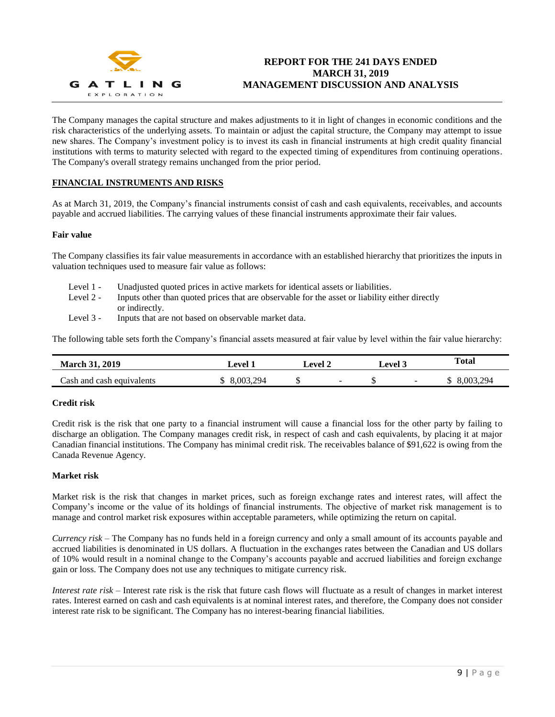

# **REPORT FOR THE 241 DAYS ENDED MARCH 31, 2019 MANAGEMENT DISCUSSION AND ANALYSIS**

The Company manages the capital structure and makes adjustments to it in light of changes in economic conditions and the risk characteristics of the underlying assets. To maintain or adjust the capital structure, the Company may attempt to issue new shares. The Company's investment policy is to invest its cash in financial instruments at high credit quality financial institutions with terms to maturity selected with regard to the expected timing of expenditures from continuing operations. The Company's overall strategy remains unchanged from the prior period.

# **FINANCIAL INSTRUMENTS AND RISKS**

As at March 31, 2019, the Company's financial instruments consist of cash and cash equivalents, receivables, and accounts payable and accrued liabilities. The carrying values of these financial instruments approximate their fair values.

### **Fair value**

The Company classifies its fair value measurements in accordance with an established hierarchy that prioritizes the inputs in valuation techniques used to measure fair value as follows:

- Level 1 Unadjusted quoted prices in active markets for identical assets or liabilities.
- Level 2 Inputs other than quoted prices that are observable for the asset or liability either directly or indirectly.
- Level 3 Inputs that are not based on observable market data.

The following table sets forth the Company's financial assets measured at fair value by level within the fair value hierarchy:

| <b>March 31, 2019</b>     | Level 1   | $\boldsymbol{\mathsf{\scriptstyle{L}}}$ evel 2 - |        | <b>Level 3</b> |                | <b>Total</b>   |
|---------------------------|-----------|--------------------------------------------------|--------|----------------|----------------|----------------|
| Cash and cash equivalents | 8.003.294 | Φ                                                | $\sim$ |                | $\overline{a}$ | 294<br>8.003.2 |

# **Credit risk**

Credit risk is the risk that one party to a financial instrument will cause a financial loss for the other party by failing to discharge an obligation. The Company manages credit risk, in respect of cash and cash equivalents, by placing it at major Canadian financial institutions. The Company has minimal credit risk. The receivables balance of \$91,622 is owing from the Canada Revenue Agency.

# **Market risk**

Market risk is the risk that changes in market prices, such as foreign exchange rates and interest rates, will affect the Company's income or the value of its holdings of financial instruments. The objective of market risk management is to manage and control market risk exposures within acceptable parameters, while optimizing the return on capital.

*Currency risk* – The Company has no funds held in a foreign currency and only a small amount of its accounts payable and accrued liabilities is denominated in US dollars. A fluctuation in the exchanges rates between the Canadian and US dollars of 10% would result in a nominal change to the Company's accounts payable and accrued liabilities and foreign exchange gain or loss. The Company does not use any techniques to mitigate currency risk.

*Interest rate risk* – Interest rate risk is the risk that future cash flows will fluctuate as a result of changes in market interest rates. Interest earned on cash and cash equivalents is at nominal interest rates, and therefore, the Company does not consider interest rate risk to be significant. The Company has no interest-bearing financial liabilities.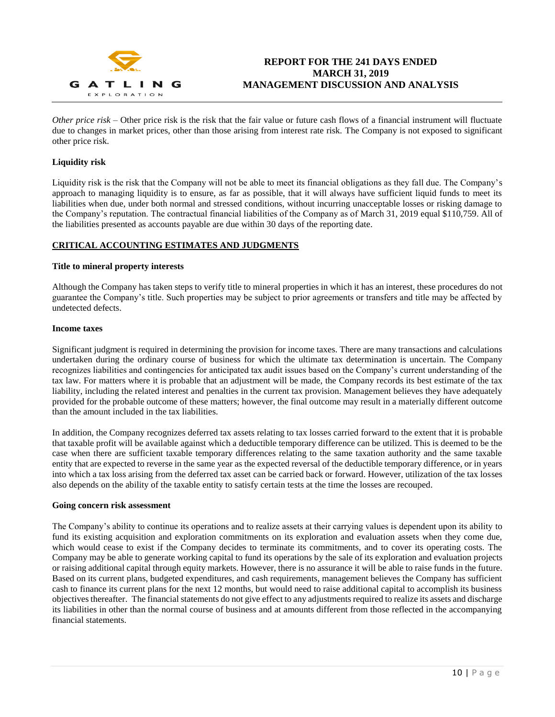

*Other price risk* – Other price risk is the risk that the fair value or future cash flows of a financial instrument will fluctuate due to changes in market prices, other than those arising from interest rate risk. The Company is not exposed to significant other price risk.

# **Liquidity risk**

Liquidity risk is the risk that the Company will not be able to meet its financial obligations as they fall due. The Company's approach to managing liquidity is to ensure, as far as possible, that it will always have sufficient liquid funds to meet its liabilities when due, under both normal and stressed conditions, without incurring unacceptable losses or risking damage to the Company's reputation. The contractual financial liabilities of the Company as of March 31, 2019 equal \$110,759. All of the liabilities presented as accounts payable are due within 30 days of the reporting date.

# **CRITICAL ACCOUNTING ESTIMATES AND JUDGMENTS**

#### **Title to mineral property interests**

Although the Company has taken steps to verify title to mineral properties in which it has an interest, these procedures do not guarantee the Company's title. Such properties may be subject to prior agreements or transfers and title may be affected by undetected defects.

#### **Income taxes**

Significant judgment is required in determining the provision for income taxes. There are many transactions and calculations undertaken during the ordinary course of business for which the ultimate tax determination is uncertain. The Company recognizes liabilities and contingencies for anticipated tax audit issues based on the Company's current understanding of the tax law. For matters where it is probable that an adjustment will be made, the Company records its best estimate of the tax liability, including the related interest and penalties in the current tax provision. Management believes they have adequately provided for the probable outcome of these matters; however, the final outcome may result in a materially different outcome than the amount included in the tax liabilities.

In addition, the Company recognizes deferred tax assets relating to tax losses carried forward to the extent that it is probable that taxable profit will be available against which a deductible temporary difference can be utilized. This is deemed to be the case when there are sufficient taxable temporary differences relating to the same taxation authority and the same taxable entity that are expected to reverse in the same year as the expected reversal of the deductible temporary difference, or in years into which a tax loss arising from the deferred tax asset can be carried back or forward. However, utilization of the tax losses also depends on the ability of the taxable entity to satisfy certain tests at the time the losses are recouped.

#### **Going concern risk assessment**

The Company's ability to continue its operations and to realize assets at their carrying values is dependent upon its ability to fund its existing acquisition and exploration commitments on its exploration and evaluation assets when they come due, which would cease to exist if the Company decides to terminate its commitments, and to cover its operating costs. The Company may be able to generate working capital to fund its operations by the sale of its exploration and evaluation projects or raising additional capital through equity markets. However, there is no assurance it will be able to raise funds in the future. Based on its current plans, budgeted expenditures, and cash requirements, management believes the Company has sufficient cash to finance its current plans for the next 12 months, but would need to raise additional capital to accomplish its business objectives thereafter. The financial statements do not give effect to any adjustments required to realize its assets and discharge its liabilities in other than the normal course of business and at amounts different from those reflected in the accompanying financial statements.